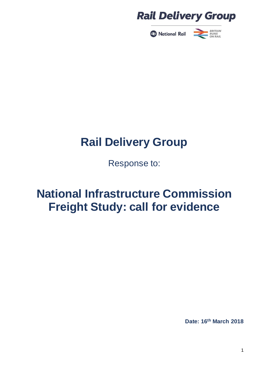



Response to:

# **National Infrastructure Commission Freight Study: call for evidence**

**Date: 16th March 2018**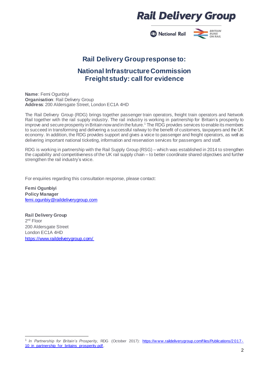**2** National Rail



### **Rail Delivery Groupresponse to:**

### **National InfrastructureCommission Freight study: call for evidence**

**Name**: Femi Ogunbiyi **Organisation**: Rail Delivery Group **Address**: 200 Aldersgate Street, London EC1A 4HD

The Rail Delivery Group (RDG) brings together passenger train operators, freight train operators and Network Rail together with the rail supply industry. The rail industry is working in partnership for Britain's prosperity to improve and secure prosperity in Britain now and in the future.<sup>1</sup> The RDG provides services to enable its members to succeed in transforming and delivering a successful railway to the benefit of customers, taxpayers and the UK economy. In addition, the RDG provides support and gives a voice to passenger and freight operators, as well as delivering important national ticketing, information and reservation services for passengers and staff.

RDG is working in partnership with the Rail Supply Group (RSG) – which was established in 2014 to strengthen the capability and competitiveness of the UK rail supply chain – to better coordinate shared objectives and further strengthen the rail industry's voice.

For enquiries regarding this consultation response, please contact:

**Femi Ogunbiyi Policy Manager** [femi.ogunbiy@raildeliverygroup.com](mailto:femi.ogunbiy@raildeliverygroup.com)

**Rail Delivery Group** 2<sup>nd</sup> Floor 200 Aldersgate Street London EC1A 4HD <https://www.raildeliverygroup.com/>

<sup>1</sup> <sup>1</sup> In Partnership for Britain's Prosperity, RDG (October 2017): https://www.raildeliverygroup.com/files/Publications/2017-10 in partnership for britains prosperity.pdf.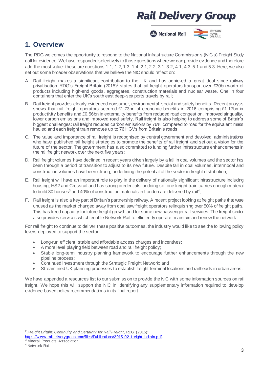

### **1. Overview**

The RDG welcomes the opportunity to respond to the National Infrastructure Commission's (NIC's) Freight Study call for evidence. Wehave responded selectively tothose questionswherewecan provide evidence andtherefore add the most value: these are questions 1.1, 1.2, 1.3, 1.4, 2.1, 2.2, 3.1, 3.2, 4.1, 4.3, 5.1 and 5.3. Here, we also set out some broader observations that we believe the NIC should reflect on:

- A. Rail freight makes a significant contribution to the UK and has achieved a great deal since railway privatisation. RDG's Freight Britain (2015)<sup>2</sup> states that rail freight operators transport over £30bn worth of products including high-end goods, aggregates, construction materials and nuclear waste. One in four containers that enter the UK's south east deep-sea ports travels by rail;
- B. Rail freight provides clearly evidenced consumer, environmental, social and safety benefits. Recent analysis shows that rail freight operators secured £1.73bn of economic benefits in 2016 comprising £1.17bn in productivity benefits and £0.56bn in externality benefits from reduced road congestion, improved air quality, lower carbon emissions and improved road safety. Rail freight is also helping to address some of Britain's biggest challenges: rail freight reduces carbon emissions by 76% compared to road for the equivalent mass hauled and each freight train removes up to 76 HGVs from Britain's roads;
- C. The value and importance of rail freight is recognised by central government and devolved administrations who have published rail freight strategies to promote the benefits of rail freight and set out a vision for the future of the sector. The government has also committed to funding further infrastructure enhancements in the rail freight network over the next five years;
- D. Rail freight volumes have declined in recent years driven largely by a fall in coal volumes and the sector has been through a period of transition to adjust to its new future. Despite fall in coal volumes, intermodal and construction volumes have been strong, underlining the potential of the sector in freight distribution;
- E. Rail freight will have an important role to play in the delivery of nationally significant infrastructure including housing, HS2 and Crossrail and has strong credentials for doing so: one freight train carries enough material to build 30 houses $^{\rm 3}$  and 40% of construction materials in London are delivered by rail<sup>4</sup>;
- F. Rail freight is also a key part of Britain's partnership railway. A recent project looking at freight paths that were unused as the market changed away from coal saw freight operators relinquishing over 50% of freight paths. This has freed capacity for future freight growth and for some new passenger rail services. The freight sector also provides services which enable Network Rail to efficiently operate, maintain and renew the network.

For rail freight to continue to deliver these positive outcomes, the industry would like to see the following policy levers deployed to support the sector:

- Long-run efficient, stable and affordable access charges and incentives;
- A more level playing field between road and rail freight policy;
- Stable long-term industry planning framework to encourage further enhancements through the new pipeline process;
- Continued investment through the Strategic Freight Network; and
- Streamlined UK planning processes to establish freight terminal locations and railheads in urban areas.

We have appended a resources list to our submission to provide the NIC with some information sources on rail freight. We hope this will support the NIC in identifying any supplementary information required to develop evidence-based policy recommendations in its final report.

<sup>1</sup> <sup>2</sup> *Freight Britain: Continuity and Certainty for Rail Freight*, RDG (2015):

https://www.raildeliverygroup.com/files/Publications/2015-02\_freight\_britain.pdf. <sup>3</sup> Mineral Products Association.

<sup>4</sup> Netw ork Rail.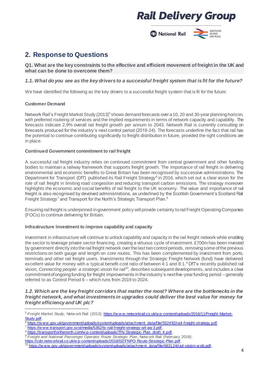National Rail



### **2. Response to Questions**

**Q1. What are the key constraints to the effective and efficient movement of freight in the UK and what can be done to overcome them?**

#### *1.1. What do you see as the key drivers to a successful freight system that is fit for the future?*

We have identified the following as the key drivers to a successful freight system that is fit for the future:

#### **Customer Demand**

1

Network Rail's Freight Market Study (2013)<sup>5</sup> shows demand forecasts over a 10, 20 and 30-year planning horizon, with preferred routeing of services and the implied requirements in terms of network capacity and capability. The forecasts indicate 2.9% overall rail freight growth per annum to 2043. Network Rail is currently consulting on forecasts produced for the industry's next control period (2019-24). The forecasts underline the fact that rail has the potential to continue contributing significantly to freight distribution in future, provided the right conditions are in place.

#### **Continued Government commitment to rail freight**

A successful rail freight industry relies on continued commitment from central government and other funding bodies to maintain a railway framework that supports freight growth. The importance of rail freight in delivering environmental and economic benefits to Great Britain has been recognised by successive administrations. The Department for Transport (DfT) published its Rail Freight Strategy<sup>6</sup> in 2016, which set out a clear vision for the role of rail freight in limiting road congestion and reducing transport carbon emissions. The strategy moreover highlights the economic and social benefits of rail freight to the UK economy. The value and importance of rail freight is also recognised by devolved administrations, as underlined by the Scottish Government's Scotland Rail Freight Strategy<sup>7</sup> and Transport for the North's Strategic Transport Plan.<sup>8</sup>

Ensuring rail freight is underpinned in government policy will provide certainty to rail Freight Operating Companies (FOCs) to continue delivering for Britain.

#### **Infrastructure Investment to improve capability and capacity**

Investment in infrastructure will continue to unlock capability and capacity in the rail freight network while enabling the sector to leverage private sector financing, creating a virtuous cycle of investment. £700m has been invested by government directly into the rail freight network over the last two control periods, removing some of the previous restrictions on both gauge and length on core routes. This has been complemented by investment from ports, terminals and other rail freight users. Investments through the Strategic Freight Network (fund) have delivered excellent value for money with a typical benefit-cost ratio of between 4:1 and 8:1.<sup>9</sup> DfT's recently published rail vision, Connecting people: a strategic vision for rail<sup>10</sup>, describes subsequent developments, and includes a clear commitment of ongoing funding for freight improvements in the industry's next five-year funding period – generally referred to as Control Period 6 – which runs from 2019 to 2024.

#### *1.2. Which are the key freight corridors that matter the most? Where are the bottlenecks in the freight network, and what investments in upgrades could deliver the best value for money for freight efficiency and UK plc?*

https://www.transport.gov.scot/media/5362/ts-rail-freight-strategy-a4-aw 3.pdf.

<sup>&</sup>lt;sup>5</sup> Freight Market Study, Netw ork Rail (2013): https://www.networkrail.co.uk/wp-content/uploads/2016/11/Freight-Market-Study.pdf.

 $6$  https://w ww.gov.uk/government/uploads/system/uploads/attachment\_data/file/552492/rail-freight-strategy.pdf.

https://transportforthenorth.com/w p-content/uploads/TfN-Strategic-Plan\_draft\_lr.pdf.

<sup>9</sup> *Freight and National Passenger Operator Route Strategic Plan*, Netw ork Rail (February 2018):

[https://cdn.netw orkrail.co.uk/w p-content/uploads/2018/02/FNPO-Route-Strategic-Plan.pdf](https://cdn.networkrail.co.uk/wp-content/uploads/2018/02/FNPO-Route-Strategic-Plan.pdf)  $^{10}$  https://w ww.gov.uk/government/uploads/system/uploads/attachment\_data/file/663124/rail-vision-w eb.pdf.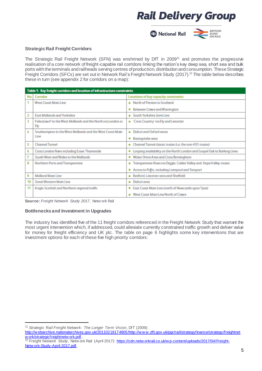

#### **Strategic Rail Freight Corridors**

The Strategic Rail Freight Network (SFN) was enshrined by DfT in 2009<sup>11</sup> and promotes the progressive realisation of a core network of freight-capable rail corridors linking the nation's key deep sea, short sea and bulk ports with the terminals and railheads serving centres of production, distribution and consumption. These Strategic Freight Corridors (SFCs) are set out in Network Rail's Freight Network Study (2017).<sup>12</sup> The table below describes these in turn (see appendix 2 for corridors on a map):

|     | Table 1: Key freight corridors and location of infrastructure constraints       |                                                                               |  |  |  |
|-----|---------------------------------------------------------------------------------|-------------------------------------------------------------------------------|--|--|--|
| No. | Corridor                                                                        | Locations of key capacity constraints                                         |  |  |  |
| 1   | <b>West Coast Main Line</b>                                                     | • North of Preston to Scotland                                                |  |  |  |
|     |                                                                                 | Between Crewe and Warrington<br>۰                                             |  |  |  |
| 2   | <b>East Midlands and Yorkshire</b>                                              | South Yorkshire Joint Line<br>۰                                               |  |  |  |
| 3   | Felixstowe <sup>6</sup> to the West Midlands and the North via London or<br>Ely | . "Cross Country' via Ely and Leicester                                       |  |  |  |
| 4   | Southampton to the West Midlands and the West Coast Main                        | <b>Didcot and Oxford areas</b><br>۰                                           |  |  |  |
|     | Line                                                                            | Basingstoke area<br>۰                                                         |  |  |  |
| 5   | <b>Channel Tunnel</b>                                                           | Channel Tunnel classic routes (i.e. the non-HS1 routes)<br>۰                  |  |  |  |
| 6   | Cross London flows including Essex Thameside                                    | Looping availability on the North London and Gospel Oak to Barking Lines<br>۰ |  |  |  |
| 7   | South West and Wales to the Midlands                                            | Water Orton Area and Cross Birmingham<br>٠                                    |  |  |  |
| 8   | Northern Ports and Transpennine                                                 | Transpennine flows via Diggle, Calder Valley and Hope Valley routes<br>۰      |  |  |  |
|     |                                                                                 | Access to Ports, including Liverpool and Teesport<br>۰                        |  |  |  |
| 9   | <b>Midland Main Line</b>                                                        | Bedford, Leicester area and Sheffield<br>۰                                    |  |  |  |
| 10  | <b>Great Western Main Line</b>                                                  | Didcot area<br>۰                                                              |  |  |  |
| 11  | Anglo-Scottish and Northern regional traffic                                    | East Coast Main Line (north of Newcastle upon Tyne)<br>٠                      |  |  |  |
|     |                                                                                 | West Coast Main Line North of Crewe                                           |  |  |  |

**Source:** *Freight Network Study 2017*, Netw ork Rail

#### **Bottlenecks and Investment in Upgrades**

The industry has identified five of the 11 freight corridors referenced in the Freight Network Study that warrant the most urgent intervention which, if addressed, could alleviate currently constrained traffic growth and deliver value for money for freight efficiency and UK plc. The table on page 6 highlights some key interventions that are investment options for each of these five high priority corridors:

1

[http://w ebarchive.nationalarchives.gov.uk/20110218174805/http://w w w .dft.gov.uk/pgr/rail/strategyfinance/strategy/freightnet](http://webarchive.nationalarchives.gov.uk/20110218174805/http:/www.dft.gov.uk/pgr/rail/strategyfinance/strategy/freightnetwork/strategicfreightnetwork.pdf) [w ork/strategicfreightnetw ork.pdf.](http://webarchive.nationalarchives.gov.uk/20110218174805/http:/www.dft.gov.uk/pgr/rail/strategyfinance/strategy/freightnetwork/strategicfreightnetwork.pdf)

<sup>11</sup> *Strategic Rail Freight Network: The Longer Term Vision*, DfT (2009):

<sup>12</sup> *Freight Network Study*, Netw ork Rail (April 2017): [https://cdn.netw orkrail.co.uk/w p-content/uploads/2017/04/Freight-](https://cdn.networkrail.co.uk/wp-content/uploads/2017/04/Freight-Network-Study-April-2017.pdf)[Netw ork-Study-April-2017.pdf.](https://cdn.networkrail.co.uk/wp-content/uploads/2017/04/Freight-Network-Study-April-2017.pdf)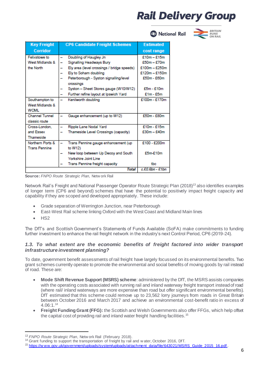**2** National Rail



| <b>Key Freight</b>    | <b>CP6 Candidate Freight Schemes</b>                | <b>Estimated</b> |
|-----------------------|-----------------------------------------------------|------------------|
| Corridor              |                                                     | cost range       |
| Felixstowe to         | Doubling of Haugley Jn                              | $£10m - £15m$    |
| West Midlands &       | Signalling Headways Bury                            | $£50m - £70m$    |
| the North             | Ely area (level crossings / bridge speeds)          | $£100m - £250m$  |
|                       | Ely to Soham doubling                               | $£120m - £150m$  |
|                       | Peterborough - Syston signalling/level<br>crossings | £50m - £60m      |
|                       | Syston - Sheet Stores gauge (W10/W12)               | £5m - £10m       |
|                       | Further refine layout at Ipswich Yard               | $E1m - E5m$      |
| Southampton to        | Kenilworth doubling                                 | £100m - £170m    |
| West Midlands &       |                                                     |                  |
| <b>WCMI</b>           |                                                     |                  |
| <b>Channel Tunnel</b> | Gauge enhancement (up to W12)                       | £50m - £80m      |
| classic route         |                                                     |                  |
| Cross-London.         | Ripple Lane Nodal Yard                              | £10m - £15m      |
| and Essex             | Thameside Level Crossings (capacity)                | $£30m - £40m$    |
| Thameside             |                                                     |                  |
| Northern Ports &      | Trans Pennine gauge enhancement (up                 | £100 - £200m     |
| <b>Trans Pennine</b>  | to W12)                                             |                  |
|                       | New loop between Up Decoy and South                 | £5m-£10m         |
|                       | Yorkshire Joint Line                                |                  |
|                       | Trans Pennine freight capacity                      | tbc              |
|                       | Total                                               | c.£0.6bn - £1bn  |

**Source:** *FNPO Route Strategic Plan,* Netw ork Rail

Network Rail's Freight and National Passenger Operator Route Strategic Plan (2018)<sup>13</sup> also identifies examples of longer term (CP6 and beyond) schemes that have the potential to positively impact freight capacity and capability if they are scoped and developed appropriately. These include:

- Grade separation of Werrington Junction, near Peterborough
- East-West Rail scheme linking Oxford with the West Coast and Midland Main lines
- HS2

-

The DfT's and Scottish Government's Statements of Funds Available (SoFA) make commitments to funding further investment to enhance the rail freight network in the industry's next Control Period, CP6 (2019-24).

#### *1.3. To what extent are the economic benefits of freight factored into wider transport infrastructure investment planning?*

To date, government benefit assessments of rail freight have largely focussed on its environmental benefits. Two grant schemes currently operate to promote the environmental and social benefits of moving goods by rail instead of road. These are:

- **Mode Shift Revenue Support (MSRS) scheme**: administered by the DfT, the MSRS assists companies with the operating costs associated with running rail and inland waterway freight transport instead of road (where rail/ inland waterways are more expensive than road but offer significant environmental benefits). DfT estimated that this scheme could remove up to 23,562 lorry journeys from roads in Great Britain between October 2016 and March 2017 and achieve an environmental cost-benefit ratio in excess of 4.06:1.<sup>14</sup>
- **Freight Funding Grant (FFG):** the Scottish and Welsh Governments also offer FFGs, which help offset the capital cost of providing rail and inland water freight handling facilities.<sup>15</sup>

<sup>13</sup> *FNPO Route Strategic Plan*, Netw ork Rail (February 2018).

<sup>&</sup>lt;sup>14</sup> Grant funding to support the transportation of freight by rail and w ater, October 2016, DfT.

<sup>15</sup> [https://w ww.gov.uk/government/uploads/system/uploads/attachment\\_data/file/643021/MSRS\\_Guide\\_2015\\_16.pdf](https://www.gov.uk/government/uploads/system/uploads/attachment_data/file/643021/MSRS_Guide_2015_16.pdf) .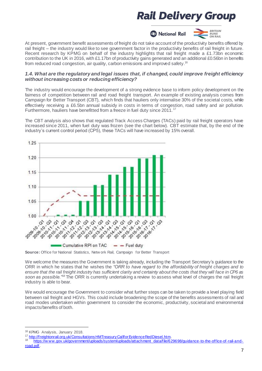

At present, government benefit assessments of freight do not take account of the productivity benefits offered by rail freight – the industry would like to see government factor in the productivity benefits of rail freight in future. Recent research by KPMG on behalf of the industry highlights that rail freight made a £1.73bn economic contribution to the UK in 2016, with £1.17bn of productivity gains generated and an additional £0.56bn in benefits from reduced road congestion, air quality, carbon emissions and improved safety.<sup>16</sup>

#### *1.4. What are the regulatory and legal issues that, if changed, could improve freight efficiency without increasing costs or reducing efficiency?*

The industry would encourage the development of a strong evidence base to inform policy development on the fairness of competition between rail and road freight transport. An example of existing analysis comes from Campaign for Better Transport (CBT), which finds that hauliers only internalise 30% of the societal costs, while effectively receiving a £6.5bn annual subsidy in costs in terms of congestion, road safety and air pollution. Furthermore, hauliers have benefitted from a freeze in fuel duty since 2011.<sup>17</sup>

The CBT analysis also shows that regulated Track Access Charges (TACs) paid by rail freight operators have increased since 2011, when fuel duty was frozen (see the chart below). CBT estimate that, by the end of the industry's current control period (CP5), these TACs will have increased by 15% overall.



**Source:** Office for National Statistics, Netw ork Rail, Campaign for Better Transport

We welcome the measures the Government is taking already, including the Transport Secretary's guidance to the ORR in which he states that he wishes the *"ORR to have regard to the affordability of freight charges and to ensure that the rail freight industry has sufficient clarity and certainty about the costs that they will face in CP6 as soon as possible."*<sup>18</sup> The ORR is currently undertaking a review to assess what level of charges the rail freight industry is able to bear.

We would encourage the Government to consider what further steps can be taken to provide a level playing field between rail freight and HGVs. This could include broadening the scope of the benefits assessments of rail and road modes undertaken within government to consider the economic, productivity, societal and environmental impacts/benefits of both.

1

<sup>16</sup> KPMG Analysis, January 2018.

<sup>17</sup> http://freightonrail.org.uk/Consultations HMTreasury Callfor Evidence Red Diesel.htm.

https://w ww.gov.uk/government/uploads/system/uploads/attachment\_data/file/629698/quidance-to-the-office-of-rail-and[road.pdf.](https://www.gov.uk/government/uploads/system/uploads/attachment_data/file/629698/guidance-to-the-office-of-rail-and-road.pdf)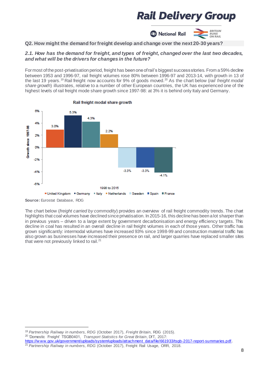

**Q2. How might the demand forfreight develop and change over the next 20-30 years?**

#### *2.1. How has the demand for freight, and types of freight, changed over the last two decades, and what will be the drivers for changes in the future?*

For most of the post-privatisation period, freight has been one of rail's biggest success stories. From a 59% decline between 1953 and 1996-97, rail freight volumes rose 80% between 1996-97 and 2013-14, with growth in 13 of the last 19 years.<sup>19</sup> Rail freight now accounts for 9% of goods moved. <sup>20</sup> As the chart below (*rail freight modal share growth*) illustrates, relative to a number of other European countries, the UK has experienced one of the highest levels of rail freight mode share growth since 1997-98: at 3% it is behind only Italy and Germany.



Rail freight modal share growth

1

The chart below (*freight carried by commodity*) provides an overview of rail freight commodity trends. The chart highlights that coal volumes have declined since privatisation. In 2015-16, this decline has been a lot sharper than in previous years – driven to a large extent by government decarbonisation and energy efficiency targets. This decline in coal has resulted in an overall decline in rail freight volumes in each of those years. Other traffic has grown significantly: intermodal volumes have increased 93% since 1998-99 and construction material traffic has also grown as businesses have increased their presence on rail, and larger quarries have replaced smaller sites that were not previously linked to rail.<sup>21</sup>

**Source:** Eurostat Database, RDG

<sup>19</sup> *Partnership Railway in numbers, RDG* (October 2017), *Freight Britain*, RDG (2015).

<sup>20</sup> 'Domestic Freight' TSGB0401, *Transport Statistics for Great Britain*, DfT, 2017:

https://www.gov.uk/government/uploads/system/uploads/attachment\_data/file/661933/tsgb-2017-report-summaries.pdf. <sup>21</sup> Partnership Railway in numbers, RDG (October 2017), Freight Rail Usage, ORR, 2018.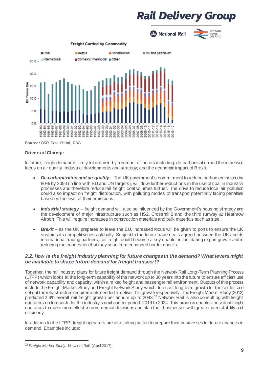**A** National Rail

**BRITAIN** 

**RUNS<br>ON RAIL** 



**Source:** ORR Data Portal, RDG

#### **Drivers of Change**

In future, freight demand is likely to be driven by a number of factors including: de-carbonisation and the increased focus on air quality; industrial developments and strategy; and the economic impact of Brexit.

- *De-carbonisation and air quality* The UK government's commitment to reduce carbon emissions by 80% by 2050 (in line with EU and UN targets), will drive further reductions in the use of coal in industrial processes and therefore reduce rail freight coal volumes further. The drive to reduce local air pollution could also impact on freight distribution, with polluting modes of transport potentially facing penalties based on the level of their emissions.
- *Industrial strategy* freight demand will also be influenced by the Government's housing strategy and the development of major infrastructure such as HS2, Crossrail 2 and the third runway at Heathrow Airport. This will require increases in construction materials and bulk materials such as steel.
- *Brexit* as the UK prepares to leave the EU, increased focus will be given to ports to ensure the UK sustains its competitiveness globally. Subject to the future trade deals agreed between the UK and its international trading partners, rail freight could become a key enabler in facilitating export growth and in reducing the congestion that may arise from enhanced border checks.

#### *2.2. How is the freight industry planning for future changes in the demand? What levers might be available to shape future demand for freight transport?*

Together, the rail industry plans for future freight demand through the Network Rail Long-Term Planning Process (LTPP) which looks at the long-term capability of the network up to 30 years into the future to ensure efficient use of network capability and capacity, within a mixed freight and passenger rail environment. Outputs of this process include the Freight Market Study and Freight Network Study which: forecast long-term growth for the sector; and set out the infrastructure requirements needed to deliver this growth respectively. The Freight Market Study (2013) predicted 2.9% overall rail freight growth per annum up to 2043.<sup>22</sup> Network Rail is also consulting with freight operators on forecasts for the industry's next control period, 2019 to 2024. This process enables individual freight operators to make more effective commercial decisions and plan their businesses with greater predictability and efficiency.

In addition to the LTPP, freight operators are also taking action to prepare their businesses for future changes in demand. Examples include:

<sup>1</sup> <sup>22</sup> *Freight Market Study*, Netw ork Rail (April 2017).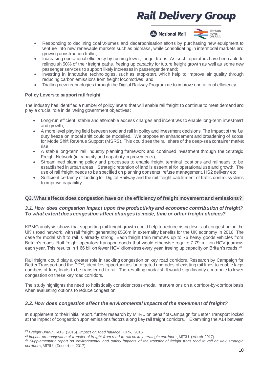**A** National Rail



- Responding to declining coal volumes and decarbonisation efforts by purchasing new equipment to venture into new renewable markets such as biomass, while consolidating in intermodal markets and growing construction traffic;
- Increasing operational efficiency by running fewer, longer trains. As such, operators have been able to relinquish 50% of their freight paths, freeing up capacity for future freight growth as well as some new passenger services to support likely increases in passenger demand;
- Investing in innovative technologies, such as stop-start, which help to improve air quality through reducing carbon emissions from freight locomotives; and
- Trialling new technologies through the Digital Railway Programme to improve operational efficiency.

#### **Policy Levers to support rail freight**

The industry has identified a number of policy levers that will enable rail freight to continue to meet demand and play a crucial role in delivering government objectives:

- Long-run efficient, stable and affordable access charges and incentives to enable long-term investment and growth;
- A more level playing field between road and rail in policy and investment decisions. The impact of the fuel duty freeze on modal shift could be modelled. We propose an enhancement and broadening of scope for Mode Shift Revenue Support (MSRS). This could see the rail share of the deep-sea container market rise;
- A stable long-term rail industry planning framework and continued investment through the Strategic Freight Network (in capacity and capability improvements);
- Streamlined planning policy and processes to enable freight terminal locations and railheads to be established in urban areas. Strategic retention of land is essential for operational use and growth. The use of rail freight needs to be specified on planning consents, refuse management, HS2 delivery etc;
- Sufficient certainty of funding for Digital Railway and the rail freight cab fitment of traffic control systems to improve capability.

#### **Q3. What effects does congestion have on the efficiency of freight movement and emissions?**

#### *3.1. How does congestion impact upon the productivity and economic contribution of freight? To what extent does congestion affect changes to mode, time or other freight choices?*

KPMG analysis shows that supporting rail freight growth could help to reduce rising levels of congestion on the UK's road network, with rail freight generating £556m in externality benefits for the UK economy in 2016. The case for modal shift to rail is already strong. Each freight train removes up to 76 heavy goods vehicles from Britain's roads. Rail freight operators transport goods that would otherwise require 7.79 million HGV journeys each year. This results in 1.66 billion fewer HGV kilometres every year, freeing up capacity on Britain's roads.<sup>23</sup>

Rail freight could play a greater role in tackling congestion on key road corridors. Research by Campaign for Better Transport and the DfT<sup>24</sup>, identifies opportunities for targeted upgrades of existing rail lines to enable large numbers of lorry loads to be transferred to rail. The resulting modal shift would significantly contribute to lower congestion on these key road corridors.

The study highlights the need to holistically consider cross-modal interventions on a corridor-by-corridor basis when evaluating options to reduce congestion.

#### *3.2. How does congestion affect the environmental impacts of the movement of freight?*

In supplement to their initial report, further research by MTRU on behalf of Campaign for Better Transport looked at the impact of congestion upon emissions factors along key rail freight corridors.  $^{25}$  Examining the A14 between

1

<sup>23</sup> *Freight Britain*, RDG (2015), *Impact on road haulage*, ORR, 2016.

<sup>&</sup>lt;sup>24</sup> Impact on congestion of transfer of freight from road to rail on key strategic corridors, MTRU (March 2017).

<sup>25</sup> *Supplementary report on environmental and safety impacts of the transfer of freight from road to rail on key strategic corridors*, MTRU (December 2017).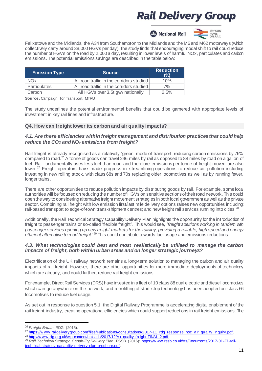**B** National Rail



Felixstowe and the Midlands, the A34 from Southampton to the Midlands and the M6 and M62 motorways (which collectively carry around 38,000 HGVs per day), the study finds that encouraging modal shift to rail could reduce the number of HGVs on the road by 2,000 a day, resulting in lower levels of harmful NOx, particulates and carbon emissions. The potential emissions savings are described in the table below:

| <b>Emission Type</b> | <b>Source</b>                             | <b>Reduction</b><br>(%) |
|----------------------|-------------------------------------------|-------------------------|
| <b>NOx</b>           | All road traffic in the corridors studied | 10%                     |
| Particulates         | All road traffic in the corridors studied | 7%                      |
| Carbon               | All HGVs over 3.5t gww nationally         | 2.5%                    |

**Source:** Campaign for Transport, MTRU

The study underlines the potential environmental benefits that could be garnered with appropriate levels of investment in key rail lines and infrastructure.

#### **Q4. How can freight lower its carbon and air quality impacts?**

#### *4.1. Are there efficiencies within freight management and distribution practices that could help reduce the CO2 and NO<sup>x</sup> emissions from freight?*

Rail freight is already recognised as a relatively 'green' mode of transport, reducing carbon emissions by 76% compared to road.<sup>26</sup> A tonne of goods can travel 246 miles by rail as opposed to 88 miles by road on a gallon of fuel. Rail fundamentally uses less fuel than road and therefore emissions per tonne of freight moved are also lower.<sup>27</sup> Freight operators have made progress in streamlining operations to reduce air pollution including investing in new rolling stock, with class 68s and 70s replacing older locomotives as well as by running fewer, longer trains.

There are other opportunities to reduce pollution impacts by distributing goods by rail. For example, some local authorities will be focused on reducing the number of HGVs on sensitive sections of their road network. This could open the way to considering alternative freight movement strategies in both local government as well as the private sector. Combining rail freight with low emission first/last mile delivery options raises new opportunities including: rail-based transport to edge-of-town trans-shipment centres; and new freight rail services running into cities.<sup>28</sup>

Additionally, the Rail Technical Strategy Capability Delivery Plan highlights the opportunity for the introduction of freight to passenger trains or so-called "flexible freight". This would see, *"freight solutions working in tandem with passenger services opening up new freight markets for the railway, providing a reliable, high speed and energy*  efficient alternative to road freight".<sup>29</sup> This could contribute towards fuel usage and emissions reductions.

#### *4.3. What technologies could best and most realistically be utilised to manage the carbon impacts of freight, both within urban areas and on longer strategic journeys?*

Electrification of the UK railway network remains a long-term solution to managing the carbon and air quality impacts of rail freight. However, there are other opportunities for more immediate deployments of technology which are already, and could further, reduce rail freight emissions.

Forexample, Direct Rail Services (DRS)haveinvested in a fleet of 10class 88dual electric anddiesel locomotives which can go anywhere on the network; and retrofitting of start-stop technology has been adopted on class 66 locomotives to reduce fuel usage.

As set out in response to question 5.1, the Digital Railway Programme is accelerating digital enablement of the rail freight industry, creating operational efficiencies which could support reductions in rail freight emissions. The

1

<sup>26</sup> *Freight Britain*, RDG (2015).

<sup>&</sup>lt;sup>27</sup> https://www.raildeliverygroup.com/files/Publications/consultations/2017-11\_rdg\_response\_hoc\_air\_quality\_inquiry.pdf.

<sup>&</sup>lt;sup>28</sup> http://w w w.rfg.org.uk/w p-content/uploads/2017/12/Air-quality-freight-FINAL-2.pdf.

<sup>29</sup> *Rail Technical Strategy: Capability Delivery Plan*, RSSB (2016): [https://w ww.rssb.co.uk/rts/Documents/2017-01-27-rail](https://www.rssb.co.uk/rts/Documents/2017-01-27-rail-technical-strategy-capability-delivery-plan-brochure.pdf)[technical-strategy-capability-delivery-plan-brochure.pdf.](https://www.rssb.co.uk/rts/Documents/2017-01-27-rail-technical-strategy-capability-delivery-plan-brochure.pdf)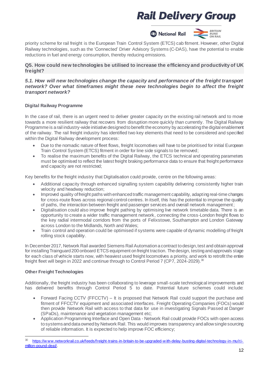

priority scheme for rail freight is the European Train Control System (ETCS) cab fitment. However, other Digital Railway technologies, such as the 'Connected' Driver Advisory Systems (C-DAS), have the potential to enable reductions in fuel and energy consumption, thereby reducing emissions.

#### **Q5. How could new technologies be utilised to increase the efficiency and productivity of UK freight?**

#### *5.1. How will new technologies change the capacity and performance of the freight transport network? Over what timeframes might these new technologies begin to affect the freight transport network?*

#### **Digital Railway Programme**

In the case of rail, there is an urgent need to deliver greater capacity on the existing rail network and to move towards a more resilient railway that recovers from disruption more quickly than currently. The Digital Railway Programme is a rail industry-wide initiative designed to benefit the economy by accelerating the digital enablement of the railway. The rail freight industry has identified two key elements that need to be considered and specified within the Digital Railway development process:

- Due to the nomadic nature of fleet flows, freight locomotives will have to be prioritised for initial European Train Control System (ETCS) fitment in order for line side signals to be removed;
- To realise the maximum benefits of the Digital Railway, the ETCS technical and operating parameters must be optimised to reflect the latest freight braking performance data to ensure that freight performance and capacity are not restricted;

Key benefits for the freight industry that Digitalisation could provide, centre on the following areas:

- Additional capacity through enhanced signalling system capability delivering consistently higher train velocity and headway reduction;
- Improved quality of freight paths with enhanced traffic management capability, adapting real-time changes for cross-route flows across regional control centres. In itself, this has the potential to improve the quality of paths, the interaction between freight and passenger services and overall network management;
- Digitalisation could also improve freight pathing by optimising live network timetable data. There is an opportunity to create a wider traffic management network, connecting the cross-London freight flows to the key radial intermodal corridors from the ports of Felixstowe, Southampton and London Gateway across London to the Midlands, North and Wales;
- Train control and operation could be optimised if systems were capable of dynamic modelling of freight rolling stock capability.

In December 2017, Network Rail awarded Siemens Rail Automation a contract to design, test and obtain approval for installing Trainguard 200 onboard ETCS equipment on freight traction. The design, testing and approvals stage for each class of vehicle starts now, with heaviest used freight locomotives a priority, and work to retrofit the entire freight fleet will begin in 2022 and continue through to Control Period 7 (CP7, 2024-2029).<sup>30</sup>

#### **Other Freight Technologies**

Additionally, the freight industry has been collaborating to leverage small-scale technological improvements and has delivered benefits through Control Period 5 to date. Potential future schemes could include:

- Forward Facing CCTV (FFCCTV) It is proposed that Network Rail could support the purchase and fitment of FFCCTV equipment and associated interfaces. Freight Operating Companies (FOCs) would then provide Network Rail with access to that data for use in investigating Signals Passed at Danger (SPaDs), maintenance and vegetation management etc;
- Application Programming Interface and Open Data Network Rail could provide FOCs with open access to systems and data owned by Network Rail. This would improves transparency and allow single sourcing of reliable information. It is expected to help improve FOC efficiency;

<sup>1</sup> [https://w ww.networkrail.co.uk/feeds/freight-trains-in-britain-to-be-upgraded-w ith-delay-busting-digital-technology-in-mul ti](https://www.networkrail.co.uk/feeds/freight-trains-in-britain-to-be-upgraded-with-delay-busting-digital-technology-in-multi-million-pound-deal/)[million-pound-deal/.](https://www.networkrail.co.uk/feeds/freight-trains-in-britain-to-be-upgraded-with-delay-busting-digital-technology-in-multi-million-pound-deal/)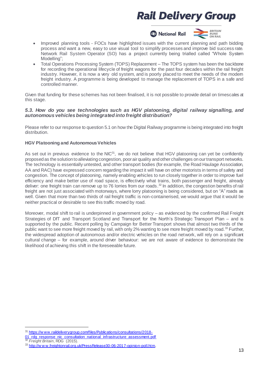



• Total Operations Processing System (TOPS) Replacement – The TOPS system has been the backbone for recording the operational lifecycle of freight wagons for the past four decades within the rail freight industry. However, it is now a very old system, and is poorly placed to meet the needs of the modern freight industry. A programme is being developed to manage the replacement of TOPS in a safe and controlled manner.

Given that funding for these schemes has not been finalised, it is not possible to provide detail on timescales at this stage.

#### *5.3. How do you see technologies such as HGV platooning, digital railway signalling, and autonomous vehicles being integrated into freight distribution?*

Please refer to our response to question 5.1 on how the Digital Railway programme is being integrated into freight distribution.

#### **HGV Platooning and Autonomous Vehicles**

As set out in previous evidence to the NIC $^{31}$ , we do not believe that HGV platooning can yet be confidently proposed as the solution to alleviating congestion, poor air quality and other challenges on our transport networks. The technology is essentially untested, and other transport bodies (for example, the Road Haulage Association, AA and RAC) have expressed concern regarding the impact it will have on other motorists in terms of safety and congestion. The concept of platooning, namely enabling vehicles to run closely together in order to improve fuel efficiency and make better use of road space, is effectively what trains, both passenger and freight, already deliver: one freight train can remove up to 76 lorries from our roads.<sup>32</sup> In addition, the congestion benefits of rail freight are not just associated with motorways, where lorry platooning is being considered, but on "A" roads as well. Given that more than two thirds of rail freight traffic is non-containerised, we would argue that it would be neither practical or desirable to see this traffic moved by road.

Moreover, modal shift to rail is underpinned in government policy – as evidenced by the confirmed Rail Freight Strategies of DfT and Transport Scotland and Transport for the North's Strategic Transport Plan – and is supported by the public. Recent polling by Campaign for Better Transport shows that almost two thirds of the public want to see more freight moved by rail, with only 2% wanting to see more freight moved by road.<sup>33</sup> Further, the widespread adoption of autonomous and/or electric vehicles on the road network, will rely on a significant cultural change – for example, around driver behaviour: we are not aware of evidence to demonstrate the likelihood of achieving this shift in the foreseeable future.

<sup>1</sup> <sup>31</sup> https://www.raildeliverygroup.com/files/Publications/consultations/2018-[01\\_rdg\\_response\\_nic\\_consultation\\_national\\_infrastructure\\_assessment.pdf](https://www.raildeliverygroup.com/files/Publications/consultations/2018-01_rdg_response_nic_consultation_national_infrastructure_assessment.pdf)

<sup>32</sup> *Freight Britain*, RDG (2015).

<sup>33</sup> [http://w w w.freightonrail.org.uk/PressRelease30-06-2017-opinion-poll.htm.](http://www.freightonrail.org.uk/PressRelease30-06-2017-opinion-poll.htm)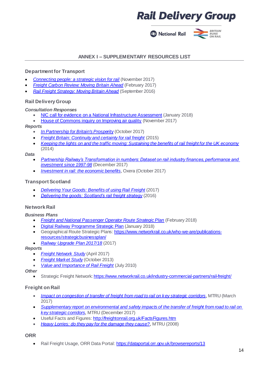**2** National Rail



#### **ANNEX I – SUPPLEMENTARY RESOURCES LIST**

#### **Department for Transport**

- *[Connecting people: a strategic vision for rail](https://www.gov.uk/government/uploads/system/uploads/attachment_data/file/663124/rail-vision-web.pdf)* (November 2017)
- *[Freight Carbon Review: Moving Britain Ahead](https://www.gov.uk/government/uploads/system/uploads/attachment_data/file/590922/freight-carbon-review-2017.pdf)* (February 2017)
- *[Rail Freight Strategy: Moving Britain Ahead](https://www.gov.uk/government/uploads/system/uploads/attachment_data/file/552492/rail-freight-strategy.pdf)* (September 2016)

#### **Rail Delivery Group**

*Consultation Responses*

- [NIC call for evidence on a National Infrastructure Assessment](https://www.raildeliverygroup.com/about-us/publications.html?task=file.download&id=469773778) (January 2018)
- [House of Commons inquiry on Improving air quality](https://www.raildeliverygroup.com/about-us/publications.html?task=file.download&id=469773777) (November 2017)

#### *Reports*

- *[In Partnership for Britain's Prosperity](https://www.raildeliverygroup.com/files/Publications/2017-10_in_partnership_for_britains_prosperity.pdf)* (October 2017)
- **[Freight Britain: Continuity and certainty for rail freight](https://www.raildeliverygroup.com/about-us/publications.html?task=file.download&id=287)** (2015)
- *[Keeping the lights on and the traffic moving: Sustaining the benefits of rail freight for the UK economy](https://www.raildeliverygroup.com/files/Publications/archive/2014-05_keeping_the_lights_on.pdf)* (2014)

*Data* 

- *[Partnership Railway's Transformation in numbers: Dataset on rail industry finances, performance and](https://www.raildeliverygroup.com/about-us/publications.html?task=file.download&id=469773535)  [investment since 1997-98](https://www.raildeliverygroup.com/about-us/publications.html?task=file.download&id=469773535)* (December 2017)
- *[Investment in rail: the economic benefits](https://www.raildeliverygroup.com/about-us/publications.html?task=file.download&id=469773423)*, Oxera (October 2017)

#### **Transport Scotland**

- *[Delivering Your Goods: Benefits of using Rail Freight](https://www.transport.gov.scot/media/33630/transport-scotland-rail-freight-guide-web.pdf)* (2017)
- *[Delivering the goods: Scotland's rail freight strategy](https://www.transport.gov.scot/media/5362/ts-rail-freight-strategy-a4-aw3.pdf)* (2016)

#### **Network Rail**

*Business Plans*

- *[Freight and National Passenger Operator Route Strategic Plan](https://cdn.networkrail.co.uk/wp-content/uploads/2018/02/FNPO-Route-Strategic-Plan.pdf)* (February 2018)
- [Digital Railway Programme Strategic Plan](https://cdn.networkrail.co.uk/wp-content/uploads/2018/02/Digital-Railway-Programme-Strategic-Plan.pdf) (January 2018)
- Geographical Route Strategic Plans[: https://www.networkrail.co.uk/who-we-are/publications](https://www.networkrail.co.uk/who-we-are/publications-resources/strategicbusinessplan/)[resources/strategicbusinessplan/](https://www.networkrail.co.uk/who-we-are/publications-resources/strategicbusinessplan/)
- *[Railway Upgrade Plan 2017/18](https://cdn.networkrail.co.uk/wp-content/uploads/2017/08/Railway-Upgrade-Plan-Update-2017-2018.pdf)* (2017)

#### *Reports*

- *[Freight Network Study](https://cdn.networkrail.co.uk/wp-content/uploads/2017/04/Freight-Network-Study-April-2017.pdf)* (April 2017)
- *[Freight Market Study](https://www.networkrail.co.uk/wp-content/uploads/2016/11/Freight-Market-Study.pdf)* (October 2013)
- *[Value and Importance of Rail Freight](http://www.networkrail.co.uk/wp-content/uploads/2016/11/9083_Value-of-Freight.pdf)* (July 2010)

*Other*

• Strategic Freight Network[: https://www.networkrail.co.uk/industry-commercial-partners/rail-freight/](https://www.networkrail.co.uk/industry-commercial-partners/rail-freight/)

#### **Freight on Rail**

- *[Impact on congestion of transfer of freight from road to rail on key strategic corridors](http://www.bettertransport.org.uk/sites/default/files/research-files/cross-modal-freight-study.pdf)*, MTRU (March 2017)
- *Supplementary report on environmental and [safety impacts of the transfer of freight from road to rail on](http://www.bettertransport.org.uk/sites/default/files/research-files/MTRU-supplementary-report-on-impacts-of-rail-freight-december-2017.pdf)  [key strategic corridors](http://www.bettertransport.org.uk/sites/default/files/research-files/MTRU-supplementary-report-on-impacts-of-rail-freight-december-2017.pdf)*, MTRU (December 2017)
- Useful Facts and Figures[: http://freightonrail.org.uk/FactsFigures.htm](http://freightonrail.org.uk/FactsFigures.htm)
- *[Heavy Lorries: do they pay for the damage they cause?](http://www.bettertransport.org.uk/sites/default/files/research-files/heavy_lorries_MTRU_research.pdf)*, MTRU (2008)

#### **ORR**

• Rail Freight Usage, ORR Data Portal[: https://dataportal.orr.gov.uk/browsereports/13](https://dataportal.orr.gov.uk/browsereports/13)